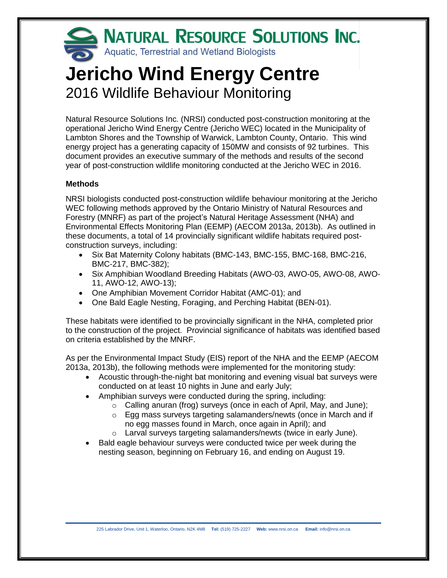

# **Jericho Wind Energy Centre** 2016 Wildlife Behaviour Monitoring

Natural Resource Solutions Inc. (NRSI) conducted post-construction monitoring at the operational Jericho Wind Energy Centre (Jericho WEC) located in the Municipality of Lambton Shores and the Township of Warwick, Lambton County, Ontario. This wind energy project has a generating capacity of 150MW and consists of 92 turbines. This document provides an executive summary of the methods and results of the second year of post-construction wildlife monitoring conducted at the Jericho WEC in 2016.

## **Methods**

NRSI biologists conducted post-construction wildlife behaviour monitoring at the Jericho WEC following methods approved by the Ontario Ministry of Natural Resources and Forestry (MNRF) as part of the project's Natural Heritage Assessment (NHA) and Environmental Effects Monitoring Plan (EEMP) (AECOM 2013a, 2013b). As outlined in these documents, a total of 14 provincially significant wildlife habitats required postconstruction surveys, including:

- Six Bat Maternity Colony habitats (BMC-143, BMC-155, BMC-168, BMC-216, BMC-217, BMC-382);
- Six Amphibian Woodland Breeding Habitats (AWO-03, AWO-05, AWO-08, AWO-11, AWO-12, AWO-13);
- One Amphibian Movement Corridor Habitat (AMC-01); and
- One Bald Eagle Nesting, Foraging, and Perching Habitat (BEN-01).

These habitats were identified to be provincially significant in the NHA, completed prior to the construction of the project. Provincial significance of habitats was identified based on criteria established by the MNRF.

As per the Environmental Impact Study (EIS) report of the NHA and the EEMP (AECOM 2013a, 2013b), the following methods were implemented for the monitoring study:

- Acoustic through-the-night bat monitoring and evening visual bat surveys were conducted on at least 10 nights in June and early July;
- Amphibian surveys were conducted during the spring, including:
	- o Calling anuran (frog) surveys (once in each of April, May, and June);
	- $\circ$  Egg mass surveys targeting salamanders/newts (once in March and if no egg masses found in March, once again in April); and
	- o Larval surveys targeting salamanders/newts (twice in early June).
- Bald eagle behaviour surveys were conducted twice per week during the nesting season, beginning on February 16, and ending on August 19.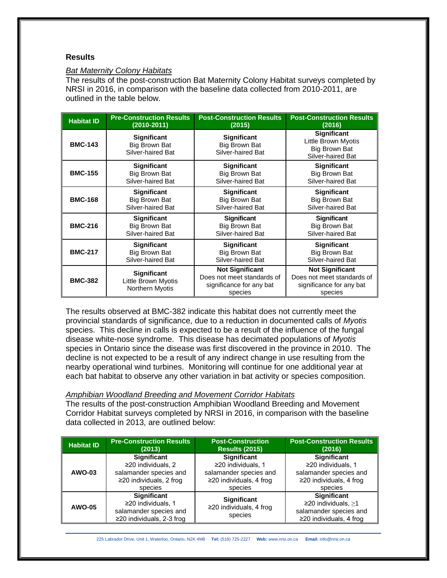## **Results**

#### *Bat Maternity Colony Habitats*

The results of the post-construction Bat Maternity Colony Habitat surveys completed by NRSI in 2016, in comparison with the baseline data collected from 2010-2011, are outlined in the table below.

| <b>Habitat ID</b> | <b>Pre-Construction Results</b>                                                                                                    | <b>Post-Construction Results</b>                                                            | <b>Post-Construction Results</b>                                                            |
|-------------------|------------------------------------------------------------------------------------------------------------------------------------|---------------------------------------------------------------------------------------------|---------------------------------------------------------------------------------------------|
|                   | (2010-2011)                                                                                                                        | (2015)                                                                                      | (2016)                                                                                      |
| <b>BMC-143</b>    | <b>Significant</b><br><b>Big Brown Bat</b><br>Silver-haired Bat                                                                    | <b>Significant</b><br><b>Big Brown Bat</b><br>Silver-haired Bat                             | <b>Significant</b><br>Little Brown Myotis<br><b>Big Brown Bat</b><br>Silver-haired Bat      |
| <b>BMC-155</b>    | <b>Significant</b>                                                                                                                 | <b>Significant</b>                                                                          | <b>Significant</b>                                                                          |
|                   | <b>Big Brown Bat</b>                                                                                                               | <b>Big Brown Bat</b>                                                                        | <b>Big Brown Bat</b>                                                                        |
|                   | Silver-haired Bat                                                                                                                  | Silver-haired Bat                                                                           | Silver-haired Bat                                                                           |
| <b>BMC-168</b>    | <b>Significant</b>                                                                                                                 | Significant                                                                                 | Significant                                                                                 |
|                   | <b>Big Brown Bat</b>                                                                                                               | Big Brown Bat                                                                               | Big Brown Bat                                                                               |
|                   | Silver-haired Bat                                                                                                                  | Silver-haired Bat                                                                           | Silver-haired Bat                                                                           |
| <b>BMC-216</b>    | <b>Significant</b><br><b>Significant</b><br><b>Big Brown Bat</b><br><b>Big Brown Bat</b><br>Silver-haired Bat<br>Silver-haired Bat |                                                                                             | <b>Significant</b><br>Big Brown Bat<br>Silver-haired Bat                                    |
| <b>BMC-217</b>    | <b>Significant</b>                                                                                                                 | <b>Significant</b>                                                                          | <b>Significant</b>                                                                          |
|                   | Big Brown Bat                                                                                                                      | <b>Big Brown Bat</b>                                                                        | <b>Big Brown Bat</b>                                                                        |
|                   | Silver-haired Bat                                                                                                                  | Silver-haired Bat                                                                           | Silver-haired Bat                                                                           |
| <b>BMC-382</b>    | <b>Significant</b><br>Little Brown Myotis<br>Northern Myotis                                                                       | <b>Not Significant</b><br>Does not meet standards of<br>significance for any bat<br>species | <b>Not Significant</b><br>Does not meet standards of<br>significance for any bat<br>species |

The results observed at BMC-382 indicate this habitat does not currently meet the provincial standards of significance, due to a reduction in documented calls of *Myotis*  species. This decline in calls is expected to be a result of the influence of the fungal disease white-nose syndrome. This disease has decimated populations of *Myotis* species in Ontario since the disease was first discovered in the province in 2010. The decline is not expected to be a result of any indirect change in use resulting from the nearby operational wind turbines. Monitoring will continue for one additional year at each bat habitat to observe any other variation in bat activity or species composition.

## *Amphibian Woodland Breeding and Movement Corridor Habitats*

The results of the post-construction Amphibian Woodland Breeding and Movement Corridor Habitat surveys completed by NRSI in 2016, in comparison with the baseline data collected in 2013, are outlined below:

| <b>Habitat ID</b> | <b>Pre-Construction Results</b>                                                                | <b>Post-Construction</b>                                       | <b>Post-Construction Results</b>                                                                       |
|-------------------|------------------------------------------------------------------------------------------------|----------------------------------------------------------------|--------------------------------------------------------------------------------------------------------|
|                   | (2013)                                                                                         | <b>Results (2015)</b>                                          | (2016)                                                                                                 |
| AWO-03            | <b>Significant</b>                                                                             | <b>Significant</b>                                             | <b>Significant</b>                                                                                     |
|                   | ≥20 individuals, 2                                                                             | ≥20 individuals, 1                                             | ≥20 individuals, 1                                                                                     |
|                   | salamander species and                                                                         | salamander species and                                         | salamander species and                                                                                 |
|                   | $\geq$ 20 individuals, 2 frog                                                                  | $\geq$ 20 individuals, 4 frog                                  | $\geq$ 20 individuals, 4 frog                                                                          |
|                   | species                                                                                        | species                                                        | species                                                                                                |
| <b>AWO-05</b>     | Significant<br>≥20 individuals. 1<br>salamander species and<br>$\geq$ 20 individuals, 2-3 frog | <b>Significant</b><br>$\geq$ 20 individuals, 4 frog<br>species | <b>Significant</b><br>≥20 individuals, $≥1$<br>salamander species and<br>$\geq$ 20 individuals, 4 frog |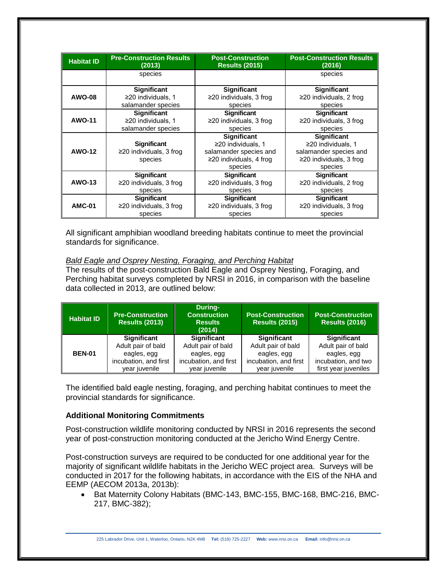| <b>Habitat ID</b> | <b>Pre-Construction Results</b><br><b>Post-Construction</b><br><b>Results (2015)</b><br>(2013) |                                          | <b>Post-Construction Results</b><br>(2016) |  |
|-------------------|------------------------------------------------------------------------------------------------|------------------------------------------|--------------------------------------------|--|
|                   | species                                                                                        |                                          | species                                    |  |
|                   | <b>Significant</b>                                                                             | <b>Significant</b>                       | <b>Significant</b>                         |  |
| <b>AWO-08</b>     | ≥20 individuals, 1<br>salamander species                                                       | $\geq$ 20 individuals, 3 frog<br>species | $\geq$ 20 individuals, 2 frog<br>species   |  |
|                   | <b>Significant</b>                                                                             | <b>Significant</b>                       | <b>Significant</b>                         |  |
| <b>AWO-11</b>     | ≥20 individuals, 1<br>salamander species                                                       | $\geq$ 20 individuals, 3 frog<br>species | ≥20 individuals, 3 frog<br>species         |  |
|                   |                                                                                                | <b>Significant</b>                       | <b>Significant</b>                         |  |
|                   | <b>Significant</b>                                                                             | $\geq$ 20 individuals, 1                 | $\geq$ 20 individuals, 1                   |  |
| <b>AWO-12</b>     | $\geq$ 20 individuals, 3 froq                                                                  | salamander species and                   | salamander species and                     |  |
|                   | species                                                                                        | $\geq$ 20 individuals, 4 frog            | ≥20 individuals, 3 frog                    |  |
|                   |                                                                                                | species                                  | species                                    |  |
|                   | <b>Significant</b>                                                                             | <b>Significant</b>                       | <b>Significant</b>                         |  |
| <b>AWO-13</b>     | $\geq$ 20 individuals, 3 froq                                                                  | $\geq$ 20 individuals, 3 frog            | $\geq$ 20 individuals, 2 frog              |  |
|                   | species                                                                                        | species                                  | species                                    |  |
|                   | <b>Significant</b>                                                                             | <b>Significant</b>                       | <b>Significant</b>                         |  |
| <b>AMC-01</b>     | $\geq$ 20 individuals, 3 froq                                                                  | $\geq$ 20 individuals, 3 frog            | $\geq$ 20 individuals, 3 froq              |  |
|                   | species                                                                                        | species                                  | species                                    |  |

All significant amphibian woodland breeding habitats continue to meet the provincial standards for significance.

#### *Bald Eagle and Osprey Nesting, Foraging, and Perching Habitat*

The results of the post-construction Bald Eagle and Osprey Nesting, Foraging, and Perching habitat surveys completed by NRSI in 2016, in comparison with the baseline data collected in 2013, are outlined below:

| <b>Habitat ID</b> | <b>Pre-Construction</b><br><b>Results (2013)</b> | During-<br><b>Construction</b><br><b>Results</b><br>(2014) | <b>Post-Construction</b><br><b>Results (2015)</b> | <b>Post-Construction</b><br><b>Results (2016)</b> |
|-------------------|--------------------------------------------------|------------------------------------------------------------|---------------------------------------------------|---------------------------------------------------|
|                   | <b>Significant</b>                               | <b>Significant</b>                                         | <b>Significant</b>                                | <b>Significant</b>                                |
|                   | Adult pair of bald                               | Adult pair of bald                                         | Adult pair of bald                                | Adult pair of bald                                |
| <b>BEN-01</b>     | eagles, egg                                      | eagles, egg                                                | eagles, egg                                       | eagles, egg                                       |
|                   | incubation, and first                            | incubation, and first                                      | incubation, and first                             | incubation, and two                               |
|                   | year juvenile                                    | year juvenile                                              | year juvenile                                     | first year juveniles                              |

The identified bald eagle nesting, foraging, and perching habitat continues to meet the provincial standards for significance.

## **Additional Monitoring Commitments**

Post-construction wildlife monitoring conducted by NRSI in 2016 represents the second year of post-construction monitoring conducted at the Jericho Wind Energy Centre.

Post-construction surveys are required to be conducted for one additional year for the majority of significant wildlife habitats in the Jericho WEC project area. Surveys will be conducted in 2017 for the following habitats, in accordance with the EIS of the NHA and EEMP (AECOM 2013a, 2013b):

• Bat Maternity Colony Habitats (BMC-143, BMC-155, BMC-168, BMC-216, BMC-217, BMC-382);